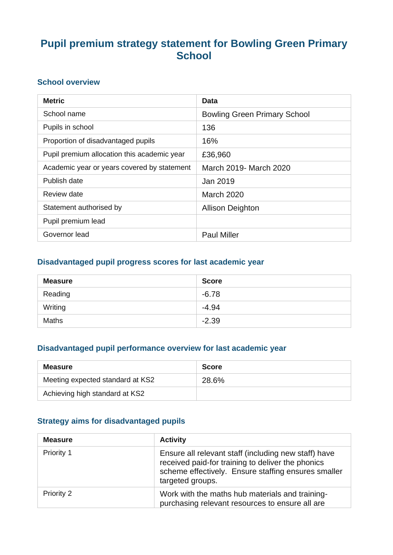# **Pupil premium strategy statement for Bowling Green Primary School**

### **School overview**

| <b>Metric</b>                               | Data                                |
|---------------------------------------------|-------------------------------------|
| School name                                 | <b>Bowling Green Primary School</b> |
| Pupils in school                            | 136                                 |
| Proportion of disadvantaged pupils          | 16%                                 |
| Pupil premium allocation this academic year | £36,960                             |
| Academic year or years covered by statement | March 2019- March 2020              |
| Publish date                                | Jan 2019                            |
| Review date                                 | <b>March 2020</b>                   |
| Statement authorised by                     | <b>Allison Deighton</b>             |
| Pupil premium lead                          |                                     |
| Governor lead                               | <b>Paul Miller</b>                  |

### **Disadvantaged pupil progress scores for last academic year**

| <b>Measure</b> | <b>Score</b> |
|----------------|--------------|
| Reading        | $-6.78$      |
| Writing        | $-4.94$      |
| <b>Maths</b>   | $-2.39$      |

### **Disadvantaged pupil performance overview for last academic year**

| <b>Measure</b>                   | <b>Score</b> |
|----------------------------------|--------------|
| Meeting expected standard at KS2 | 28.6%        |
| Achieving high standard at KS2   |              |

## **Strategy aims for disadvantaged pupils**

| <b>Measure</b> | <b>Activity</b>                                                                                                                                                                      |
|----------------|--------------------------------------------------------------------------------------------------------------------------------------------------------------------------------------|
| Priority 1     | Ensure all relevant staff (including new staff) have<br>received paid-for training to deliver the phonics<br>scheme effectively. Ensure staffing ensures smaller<br>targeted groups. |
| Priority 2     | Work with the maths hub materials and training-<br>purchasing relevant resources to ensure all are                                                                                   |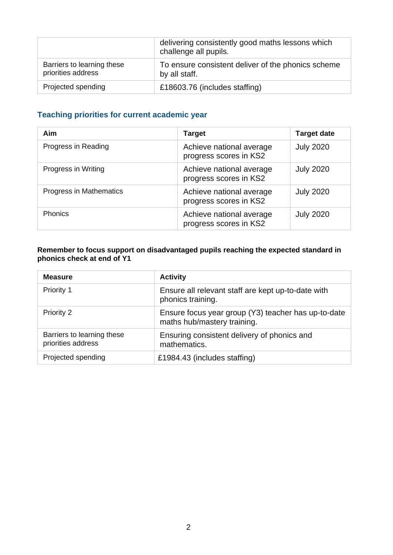|                                                  | delivering consistently good maths lessons which<br>challenge all pupils. |
|--------------------------------------------------|---------------------------------------------------------------------------|
| Barriers to learning these<br>priorities address | To ensure consistent deliver of the phonics scheme<br>by all staff.       |
| Projected spending                               | £18603.76 (includes staffing)                                             |

## **Teaching priorities for current academic year**

| <b>Aim</b>              | <b>Target</b>                                      | <b>Target date</b> |
|-------------------------|----------------------------------------------------|--------------------|
| Progress in Reading     | Achieve national average<br>progress scores in KS2 | <b>July 2020</b>   |
| Progress in Writing     | Achieve national average<br>progress scores in KS2 | <b>July 2020</b>   |
| Progress in Mathematics | Achieve national average<br>progress scores in KS2 | <b>July 2020</b>   |
| <b>Phonics</b>          | Achieve national average<br>progress scores in KS2 | <b>July 2020</b>   |

#### **Remember to focus support on disadvantaged pupils reaching the expected standard in phonics check at end of Y1**

| <b>Measure</b>                                   | <b>Activity</b>                                                                    |
|--------------------------------------------------|------------------------------------------------------------------------------------|
| <b>Priority 1</b>                                | Ensure all relevant staff are kept up-to-date with<br>phonics training.            |
| <b>Priority 2</b>                                | Ensure focus year group (Y3) teacher has up-to-date<br>maths hub/mastery training. |
| Barriers to learning these<br>priorities address | Ensuring consistent delivery of phonics and<br>mathematics.                        |
| Projected spending                               | £1984.43 (includes staffing)                                                       |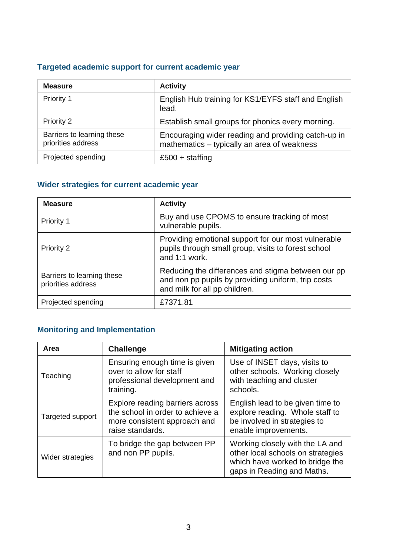## **Targeted academic support for current academic year**

| <b>Measure</b>                                   | <b>Activity</b>                                                                                    |
|--------------------------------------------------|----------------------------------------------------------------------------------------------------|
| Priority 1                                       | English Hub training for KS1/EYFS staff and English<br>lead.                                       |
| Priority 2                                       | Establish small groups for phonics every morning.                                                  |
| Barriers to learning these<br>priorities address | Encouraging wider reading and providing catch-up in<br>mathematics - typically an area of weakness |
| Projected spending                               | £500 + staffing                                                                                    |

## **Wider strategies for current academic year**

| <b>Measure</b>                                   | <b>Activity</b>                                                                                                                           |
|--------------------------------------------------|-------------------------------------------------------------------------------------------------------------------------------------------|
| Priority 1                                       | Buy and use CPOMS to ensure tracking of most<br>vulnerable pupils.                                                                        |
| Priority 2                                       | Providing emotional support for our most vulnerable<br>pupils through small group, visits to forest school<br>and 1:1 work.               |
| Barriers to learning these<br>priorities address | Reducing the differences and stigma between our pp<br>and non pp pupils by providing uniform, trip costs<br>and milk for all pp children. |
| Projected spending                               | £7371.81                                                                                                                                  |

## **Monitoring and Implementation**

| Area             | <b>Challenge</b>                                                                                                        | <b>Mitigating action</b>                                                                                                              |
|------------------|-------------------------------------------------------------------------------------------------------------------------|---------------------------------------------------------------------------------------------------------------------------------------|
| Teaching         | Ensuring enough time is given<br>over to allow for staff<br>professional development and<br>training.                   | Use of INSET days, visits to<br>other schools. Working closely<br>with teaching and cluster<br>schools.                               |
| Targeted support | Explore reading barriers across<br>the school in order to achieve a<br>more consistent approach and<br>raise standards. | English lead to be given time to<br>explore reading. Whole staff to<br>be involved in strategies to<br>enable improvements.           |
| Wider strategies | To bridge the gap between PP<br>and non PP pupils.                                                                      | Working closely with the LA and<br>other local schools on strategies<br>which have worked to bridge the<br>gaps in Reading and Maths. |